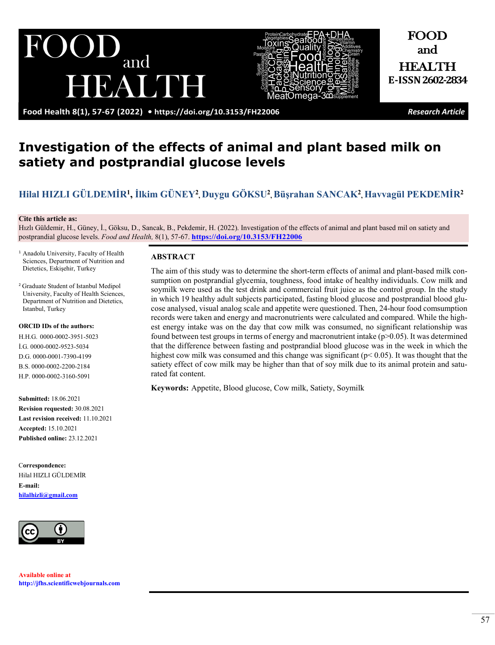RAME

and



and HEALTH **E-ISSN 2602-2834**

FOOD

**Food Health 8(1), 57-67 (2022) •<https://doi.org/10.3153/FH22006>** *Research Article*

# **Investigation of the effects of animal and plant based milk on satiety and postprandial glucose levels**

# **Hilal HIZLI [GÜLDEMİR](https://orcid.org/0000-0002-3951-5023)1, [İlkim GÜNEY](https://orcid.org/0000-0002-9523-5034)<sup>2</sup> [, Duygu GÖKSU2](https://orcid.org/0000-0001-7390-4199) , [Büşrahan SANCAK](https://orcid.org/0000-0002-2200-2184)<sup>2</sup> [, Havvagül PE](https://orcid.org/0000-0002-3160-5091)KDEMİR<sup>2</sup>**

#### **Cite this article as:**

Hızlı Güldemir, H., Güney, İ., Göksu, D., Sancak, B., Pekdemir, H. (2022). Investigation of the effects of animal and plant based mil on satiety and postprandial glucose levels. *Food and Health,* 8(1), 57-67. **<https://doi.org/10.3153/FH22006>**

<sup>1</sup> Anadolu University, Faculty of Health Sciences, Department of Nutrition and Dietetics, Eskişehir, Turkey

DI

<sup>2</sup> Graduate Student of Istanbul Medipol University, Faculty of Health Sciences, Department of Nutrition and Dietetics, Istanbul, Turkey

#### **ORCID IDs of the authors:**

H.H.G. 0000-0002-3951-5023 İ.G. 0000-0002-9523-5034 D.G. 0000-0001-7390-4199 B.S. 0000-0002-2200-2184 H.P. 0000-0002-3160-5091

**Submitted:** 18.06.2021 **Revision requested:** 30.08.2021 **Last revision received:** 11.10.2021 **Accepted:** 15.10.2021 **Published online:** 23.12.2021

C**orrespondence:**  Hilal HIZLI GÜLDEMİR **E-mail: [hilalhizli@gmail.com](mailto:hilalhizli@gmail.com)**



**Available online at [http://jfhs.scientificwebjournals.com](http://jfhs.scientificwebjournals.com/)**

#### **ABSTRACT**

The aim of this study was to determine the short-term effects of animal and plant-based milk consumption on postprandial glycemia, toughness, food intake of healthy individuals. Cow milk and soymilk were used as the test drink and commercial fruit juice as the control group. In the study in which 19 healthy adult subjects participated, fasting blood glucose and postprandial blood glucose analysed, visual analog scale and appetite were questioned. Then, 24-hour food comsumption records were taken and energy and macronutrients were calculated and compared. While the highest energy intake was on the day that cow milk was consumed, no significant relationship was found between test groups in terms of energy and macronutrient intake  $(p>0.05)$ . It was determined that the difference between fasting and postprandial blood glucose was in the week in which the highest cow milk was consumed and this change was significant ( $p$  < 0.05). It was thought that the satiety effect of cow milk may be higher than that of soy milk due to its animal protein and saturated fat content.

**Keywords:** Appetite, Blood glucose, Cow milk, Satiety, Soymilk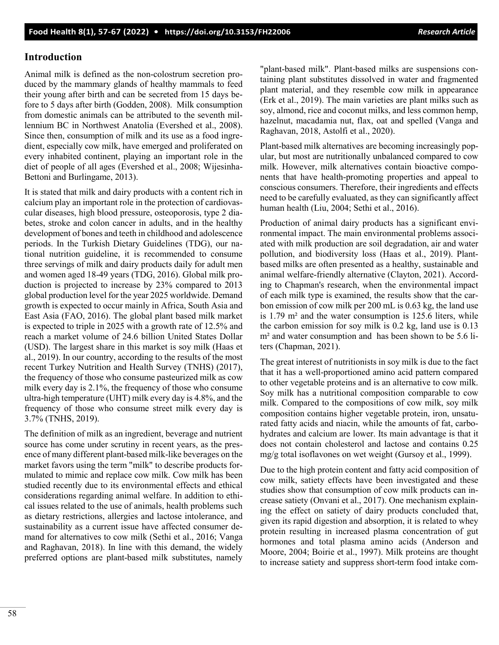# **Introduction**

Animal milk is defined as the non-colostrum secretion produced by the mammary glands of healthy mammals to feed their young after birth and can be secreted from 15 days before to 5 days after birth (Godden, 2008). Milk consumption from domestic animals can be attributed to the seventh millennium BC in Northwest Anatolia (Evershed et al., 2008). Since then, consumption of milk and its use as a food ingredient, especially cow milk, have emerged and proliferated on every inhabited continent, playing an important role in the diet of people of all ages (Evershed et al., 2008; Wijesinha-Bettoni and Burlingame, 2013).

It is stated that milk and dairy products with a content rich in calcium play an important role in the protection of cardiovascular diseases, high blood pressure, osteoporosis, type 2 diabetes, stroke and colon cancer in adults, and in the healthy development of bones and teeth in childhood and adolescence periods. In the Turkish Dietary Guidelines (TDG), our national nutrition guideline, it is recommended to consume three servings of milk and dairy products daily for adult men and women aged 18-49 years (TDG, 2016). Global milk production is projected to increase by 23% compared to 2013 global production level for the year 2025 worldwide. Demand growth is expected to occur mainly in Africa, South Asia and East Asia (FAO, 2016). The global plant based milk market is expected to triple in 2025 with a growth rate of 12.5% and reach a market volume of 24.6 billion United States Dollar (USD). The largest share in this market is soy milk (Haas et al., 2019). In our country, according to the results of the most recent Turkey Nutrition and Health Survey (TNHS) (2017), the frequency of those who consume pasteurized milk as cow milk every day is 2.1%, the frequency of those who consume ultra-high temperature (UHT) milk every day is 4.8%, and the frequency of those who consume street milk every day is 3.7% (TNHS, 2019).

The definition of milk as an ingredient, beverage and nutrient source has come under scrutiny in recent years, as the presence of many different plant-based milk-like beverages on the market favors using the term "milk" to describe products formulated to mimic and replace cow milk. Cow milk has been studied recently due to its environmental effects and ethical considerations regarding animal welfare. In addition to ethical issues related to the use of animals, health problems such as dietary restrictions, allergies and lactose intolerance, and sustainability as a current issue have affected consumer demand for alternatives to cow milk (Sethi et al., 2016; Vanga and Raghavan, 2018). In line with this demand, the widely preferred options are plant-based milk substitutes, namely

"plant-based milk". Plant-based milks are suspensions containing plant substitutes dissolved in water and fragmented plant material, and they resemble cow milk in appearance (Erk et al., 2019). The main varieties are plant milks such as soy, almond, rice and coconut milks, and less common hemp, hazelnut, macadamia nut, flax, oat and spelled (Vanga and Raghavan, 2018, Astolfi et al., 2020).

Plant-based milk alternatives are becoming increasingly popular, but most are nutritionally unbalanced compared to cow milk. However, milk alternatives contain bioactive components that have health-promoting properties and appeal to conscious consumers. Therefore, their ingredients and effects need to be carefully evaluated, as they can significantly affect human health (Liu, 2004; Sethi et al., 2016).

Production of animal dairy products has a significant environmental impact. The main environmental problems associated with milk production are soil degradation, air and water pollution, and biodiversity loss (Haas et al., 2019). Plantbased milks are often presented as a healthy, sustainable and animal welfare-friendly alternative (Clayton, 2021). According to Chapman's research, when the environmental impact of each milk type is examined, the results show that the carbon emission of cow milk per 200 mL is 0.63 kg, the land use is 1.79 m² and the water consumption is 125.6 liters, while the carbon emission for soy milk is 0.2 kg, land use is 0.13 m<sup>2</sup> and water consumption and has been shown to be 5.6 liters (Chapman, 2021).

The great interest of nutritionists in soy milk is due to the fact that it has a well-proportioned amino acid pattern compared to other vegetable proteins and is an alternative to cow milk. Soy milk has a nutritional composition comparable to cow milk. Compared to the compositions of cow milk, soy milk composition contains higher vegetable protein, iron, unsaturated fatty acids and niacin, while the amounts of fat, carbohydrates and calcium are lower. Its main advantage is that it does not contain cholesterol and lactose and contains 0.25 mg/g total isoflavones on wet weight (Gursoy et al., 1999).

Due to the high protein content and fatty acid composition of cow milk, satiety effects have been investigated and these studies show that consumption of cow milk products can increase satiety (Onvani et al., 2017). One mechanism explaining the effect on satiety of dairy products concluded that, given its rapid digestion and absorption, it is related to whey protein resulting in increased plasma concentration of gut hormones and total plasma amino acids (Anderson and Moore, 2004; Boirie et al., 1997). Milk proteins are thought to increase satiety and suppress short-term food intake com-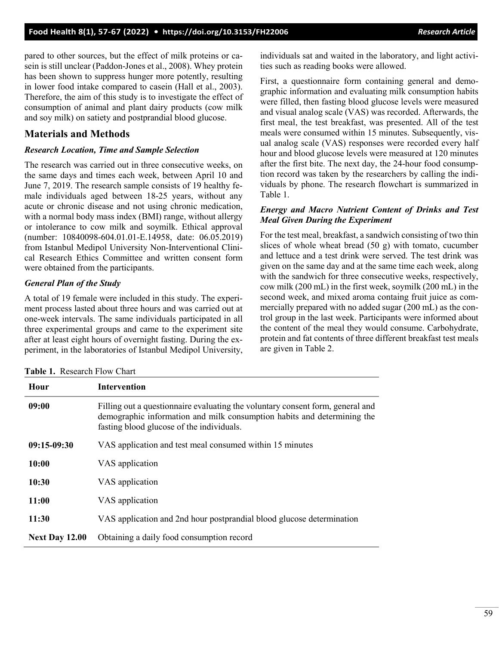pared to other sources, but the effect of milk proteins or casein is still unclear (Paddon-Jones et al., 2008). Whey protein has been shown to suppress hunger more potently, resulting in lower food intake compared to casein (Hall et al., 2003). Therefore, the aim of this study is to investigate the effect of consumption of animal and plant dairy products (cow milk and soy milk) on satiety and postprandial blood glucose.

## **Materials and Methods**

### *Research Location, Time and Sample Selection*

The research was carried out in three consecutive weeks, on the same days and times each week, between April 10 and June 7, 2019. The research sample consists of 19 healthy female individuals aged between 18-25 years, without any acute or chronic disease and not using chronic medication, with a normal body mass index (BMI) range, without allergy or intolerance to cow milk and soymilk. Ethical approval (number: 10840098-604.01.01-E.14958, date: 06.05.2019) from Istanbul Medipol University Non-Interventional Clinical Research Ethics Committee and written consent form were obtained from the participants.

### *General Plan of the Study*

A total of 19 female were included in this study. The experiment process lasted about three hours and was carried out at one-week intervals. The same individuals participated in all three experimental groups and came to the experiment site after at least eight hours of overnight fasting. During the experiment, in the laboratories of Istanbul Medipol University, individuals sat and waited in the laboratory, and light activities such as reading books were allowed.

First, a questionnaire form containing general and demographic information and evaluating milk consumption habits were filled, then fasting blood glucose levels were measured and visual analog scale (VAS) was recorded. Afterwards, the first meal, the test breakfast, was presented. All of the test meals were consumed within 15 minutes. Subsequently, visual analog scale (VAS) responses were recorded every half hour and blood glucose levels were measured at 120 minutes after the first bite. The next day, the 24-hour food consumption record was taken by the researchers by calling the individuals by phone. The research flowchart is summarized in Table 1.

#### *Energy and Macro Nutrient Content of Drinks and Test Meal Given During the Experiment*

For the test meal, breakfast, a sandwich consisting of two thin slices of whole wheat bread (50 g) with tomato, cucumber and lettuce and a test drink were served. The test drink was given on the same day and at the same time each week, along with the sandwich for three consecutive weeks, respectively, cow milk (200 mL) in the first week, soymilk (200 mL) in the second week, and mixed aroma containg fruit juice as commercially prepared with no added sugar (200 mL) as the control group in the last week. Participants were informed about the content of the meal they would consume. Carbohydrate, protein and fat contents of three different breakfast test meals are given in Table 2.

| Hour                  | <b>Intervention</b>                                                                                                                                                                                    |  |  |  |
|-----------------------|--------------------------------------------------------------------------------------------------------------------------------------------------------------------------------------------------------|--|--|--|
| 09:00                 | Filling out a questionnaire evaluating the voluntary consent form, general and<br>demographic information and milk consumption habits and determining the<br>fasting blood glucose of the individuals. |  |  |  |
| 09:15-09:30           | VAS application and test meal consumed within 15 minutes                                                                                                                                               |  |  |  |
| 10:00                 | VAS application                                                                                                                                                                                        |  |  |  |
| 10:30                 | VAS application                                                                                                                                                                                        |  |  |  |
| 11:00                 | VAS application                                                                                                                                                                                        |  |  |  |
| 11:30                 | VAS application and 2nd hour postprandial blood glucose determination                                                                                                                                  |  |  |  |
| <b>Next Day 12.00</b> | Obtaining a daily food consumption record                                                                                                                                                              |  |  |  |

**Table 1.** Research Flow Chart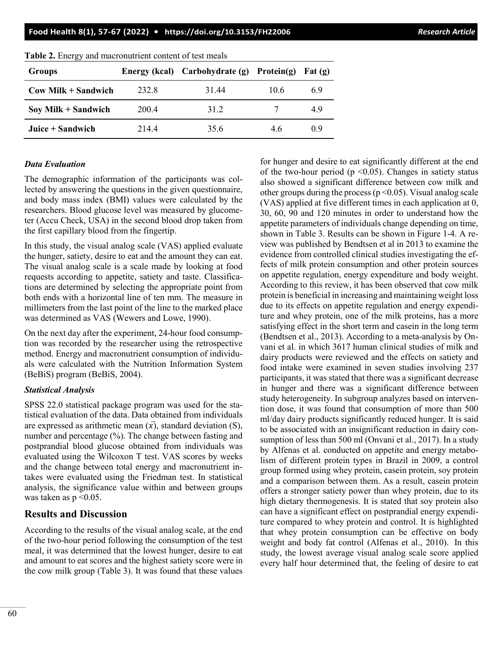**Food Health 8(1), 57-67 (2022) • <https://doi.org/10.3153/FH22006>** *Research Article*

| <b>Groups</b>         |       | Energy (kcal) Carbohydrate (g) Protein(g) |      | $ext(\mathbf{g})$ |
|-----------------------|-------|-------------------------------------------|------|-------------------|
| $Cow$ Milk + Sandwich | 232.8 | 31.44                                     | 10.6 | 6.9               |
| Soy Milk $+$ Sandwich | 200.4 | 31.2                                      |      | 4.9               |
| Juice $+$ Sandwich    | 214.4 | 35.6                                      | 4.6  | (0.9)             |

**Table 2.** Energy and macronutrient content of test meals

## *Data Evaluation*

The demographic information of the participants was collected by answering the questions in the given questionnaire, and body mass index (BMI) values were calculated by the researchers. Blood glucose level was measured by glucometer (Accu Check, USA) in the second blood drop taken from the first capillary blood from the fingertip.

In this study, the visual analog scale (VAS) applied evaluate the hunger, satiety, desire to eat and the amount they can eat. The visual analog scale is a scale made by looking at food requests according to appetite, satiety and taste. Classifications are determined by selecting the appropriate point from both ends with a horizontal line of ten mm. The measure in millimeters from the last point of the line to the marked place was determined as VAS (Wewers and Lowe, 1990).

On the next day after the experiment, 24-hour food consumption was recorded by the researcher using the retrospective method. Energy and macronutrient consumption of individuals were calculated with the Nutrition Information System (BeBiS) program (BeBiS, 2004).

## *Statistical Analysis*

SPSS 22.0 statistical package program was used for the statistical evaluation of the data. Data obtained from individuals are expressed as arithmetic mean  $(\overline{x})$ , standard deviation (S), number and percentage (%). The change between fasting and postprandial blood glucose obtained from individuals was evaluated using the Wilcoxon T test. VAS scores by weeks and the change between total energy and macronutrient intakes were evaluated using the Friedman test. In statistical analysis, the significance value within and between groups was taken as  $p \leq 0.05$ .

# **Results and Discussion**

According to the results of the visual analog scale, at the end of the two-hour period following the consumption of the test meal, it was determined that the lowest hunger, desire to eat and amount to eat scores and the highest satiety score were in the cow milk group (Table 3). It was found that these values for hunger and desire to eat significantly different at the end of the two-hour period ( $p \le 0.05$ ). Changes in satiety status also showed a significant difference between cow milk and other groups during the process ( $p \le 0.05$ ). Visual analog scale (VAS) applied at five different times in each application at 0, 30, 60, 90 and 120 minutes in order to understand how the appetite parameters of individuals change depending on time, shown in Table 3. Results can be shown in Figure 1-4. A review was published by Bendtsen et al in 2013 to examine the evidence from controlled clinical studies investigating the effects of milk protein consumption and other protein sources on appetite regulation, energy expenditure and body weight. According to this review, it has been observed that cow milk protein is beneficial in increasing and maintaining weight loss due to its effects on appetite regulation and energy expenditure and whey protein, one of the milk proteins, has a more satisfying effect in the short term and casein in the long term (Bendtsen et al., 2013). According to a meta-analysis by Onvani et al. in which 3617 human clinical studies of milk and dairy products were reviewed and the effects on satiety and food intake were examined in seven studies involving 237 participants, it was stated that there was a significant decrease in hunger and there was a significant difference between study heterogeneity. In subgroup analyzes based on intervention dose, it was found that consumption of more than 500 ml/day dairy products significantly reduced hunger. It is said to be associated with an insignificant reduction in dairy consumption of less than 500 ml (Onvani et al., 2017). In a study by Alfenas et al. conducted on appetite and energy metabolism of different protein types in Brazil in 2009, a control group formed using whey protein, casein protein, soy protein and a comparison between them. As a result, casein protein offers a stronger satiety power than whey protein, due to its high dietary thermogenesis. It is stated that soy protein also can have a significant effect on postprandial energy expenditure compared to whey protein and control. It is highlighted that whey protein consumption can be effective on body weight and body fat control (Alfenas et al., 2010). In this study, the lowest average visual analog scale score applied every half hour determined that, the feeling of desire to eat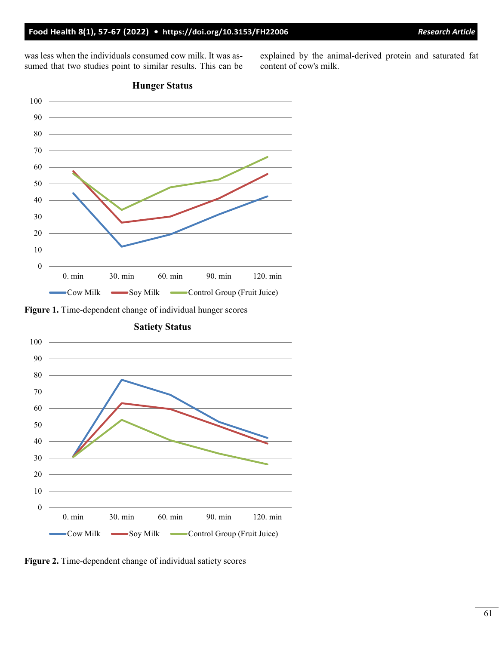was less when the individuals consumed cow milk. It was assumed that two studies point to similar results. This can be explained by the animal-derived protein and saturated fat content of cow's milk.



**Figure 1.** Time-dependent change of individual hunger scores



**Satiety Status**

**Figure 2.** Time-dependent change of individual satiety scores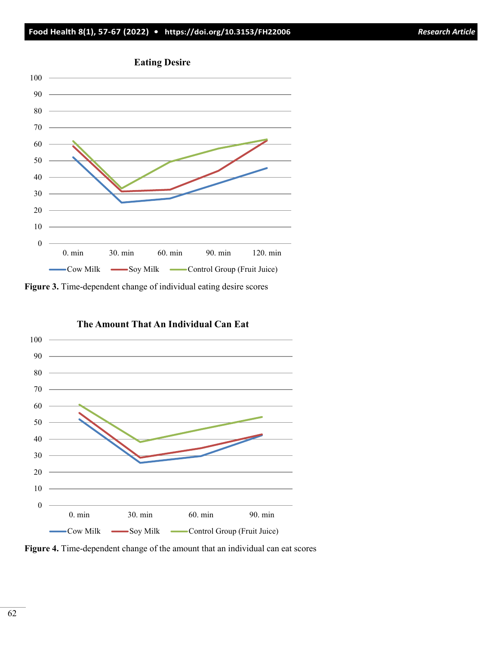





**Figure 4.** Time-dependent change of the amount that an individual can eat scores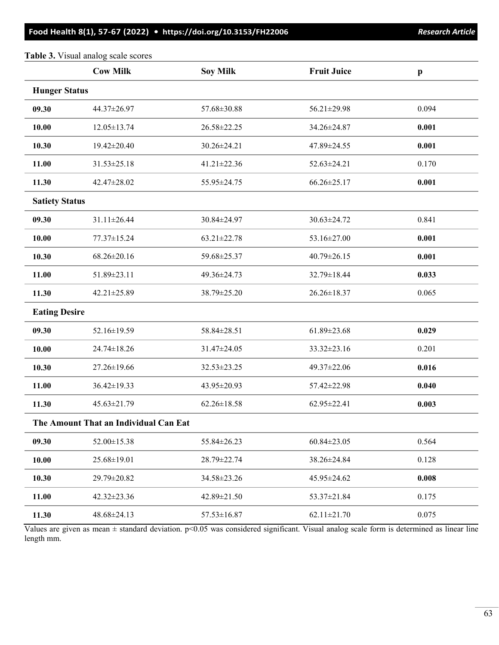### **Food Health 8(1), 57-67 (2022) • <https://doi.org/10.3153/FH22006>***Research Article*

### **Table 3.** Visual analog scale scores

|                       | <b>Cow Milk</b>                       | <b>Soy Milk</b>   | <b>Fruit Juice</b> | $\mathbf{p}$ |  |
|-----------------------|---------------------------------------|-------------------|--------------------|--------------|--|
| <b>Hunger Status</b>  |                                       |                   |                    |              |  |
| 09.30                 | 44.37±26.97                           | 57.68±30.88       | 56.21±29.98        | 0.094        |  |
| 10.00                 | $12.05 \pm 13.74$                     | 26.58±22.25       | 34.26±24.87        | 0.001        |  |
| 10.30                 | 19.42±20.40                           | 30.26±24.21       | 47.89±24.55        | 0.001        |  |
| 11.00                 | $31.53 \pm 25.18$                     | $41.21 \pm 22.36$ | 52.63±24.21        | 0.170        |  |
| 11.30                 | 42.47±28.02                           | 55.95±24.75       | $66.26 \pm 25.17$  | 0.001        |  |
| <b>Satiety Status</b> |                                       |                   |                    |              |  |
| 09.30                 | 31.11±26.44                           | 30.84±24.97       | 30.63±24.72        | 0.841        |  |
| 10.00                 | 77.37±15.24                           | $63.21 \pm 22.78$ | 53.16±27.00        | 0.001        |  |
| 10.30                 | $68.26 \pm 20.16$                     | 59.68±25.37       | 40.79±26.15        | 0.001        |  |
| 11.00                 | 51.89±23.11                           | 49.36±24.73       | 32.79±18.44        | 0.033        |  |
| 11.30                 | 42.21±25.89                           | 38.79±25.20       | 26.26±18.37        | 0.065        |  |
| <b>Eating Desire</b>  |                                       |                   |                    |              |  |
| 09.30                 | 52.16±19.59                           | 58.84±28.51       | $61.89 \pm 23.68$  | 0.029        |  |
| 10.00                 | 24.74±18.26                           | 31.47±24.05       | 33.32±23.16        | 0.201        |  |
| 10.30                 | 27.26±19.66                           | 32.53±23.25       | 49.37±22.06        | 0.016        |  |
| 11.00                 | $36.42 \pm 19.33$                     | 43.95±20.93       | 57.42±22.98        | 0.040        |  |
| 11.30                 | 45.63±21.79                           | $62.26 \pm 18.58$ | $62.95 \pm 22.41$  | 0.003        |  |
|                       | The Amount That an Individual Can Eat |                   |                    |              |  |
| 09.30                 | 52.00±15.38                           | 55.84±26.23       | $60.84 \pm 23.05$  | 0.564        |  |
| 10.00                 | 25.68±19.01                           | 28.79±22.74       | 38.26±24.84        | 0.128        |  |
| 10.30                 | 29.79±20.82                           | 34.58±23.26       | 45.95±24.62        | 0.008        |  |
| 11.00                 | 42.32±23.36                           | 42.89±21.50       | 53.37±21.84        | 0.175        |  |
| 11.30                 | 48.68±24.13                           | $57.53 \pm 16.87$ | $62.11 \pm 21.70$  | 0.075        |  |

Values are given as mean  $\pm$  standard deviation.  $p<0.05$  was considered significant. Visual analog scale form is determined as linear line length mm.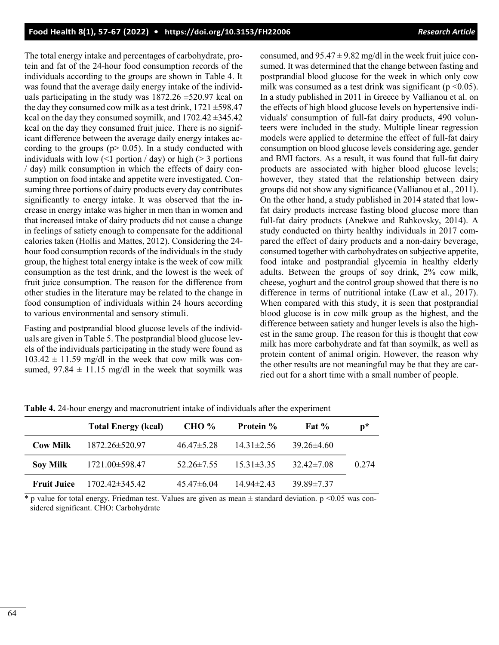The total energy intake and percentages of carbohydrate, protein and fat of the 24-hour food consumption records of the individuals according to the groups are shown in Table 4. It was found that the average daily energy intake of the individuals participating in the study was  $1872.26 \pm 520.97$  kcal on the day they consumed cow milk as a test drink,  $1721 \pm 598.47$ kcal on the day they consumed soymilk, and  $1702.42 \pm 345.42$ kcal on the day they consumed fruit juice. There is no significant difference between the average daily energy intakes according to the groups ( $p > 0.05$ ). In a study conducted with individuals with low  $\left($  <1 portion  $\prime$  day) or high ( $>$  3 portions / day) milk consumption in which the effects of dairy consumption on food intake and appetite were investigated. Consuming three portions of dairy products every day contributes significantly to energy intake. It was observed that the increase in energy intake was higher in men than in women and that increased intake of dairy products did not cause a change in feelings of satiety enough to compensate for the additional calories taken (Hollis and Mattes, 2012). Considering the 24 hour food consumption records of the individuals in the study group, the highest total energy intake is the week of cow milk consumption as the test drink, and the lowest is the week of fruit juice consumption. The reason for the difference from other studies in the literature may be related to the change in food consumption of individuals within 24 hours according to various environmental and sensory stimuli.

Fasting and postprandial blood glucose levels of the individuals are given in Table 5. The postprandial blood glucose levels of the individuals participating in the study were found as  $103.42 \pm 11.59$  mg/dl in the week that cow milk was consumed,  $97.84 \pm 11.15$  mg/dl in the week that soymilk was consumed, and  $95.47 \pm 9.82$  mg/dl in the week fruit juice consumed. It was determined that the change between fasting and postprandial blood glucose for the week in which only cow milk was consumed as a test drink was significant ( $p \le 0.05$ ). In a study published in 2011 in Greece by Vallianou et al. on the effects of high blood glucose levels on hypertensive individuals' consumption of full-fat dairy products, 490 volunteers were included in the study. Multiple linear regression models were applied to determine the effect of full-fat dairy consumption on blood glucose levels considering age, gender and BMI factors. As a result, it was found that full-fat dairy products are associated with higher blood glucose levels; however, they stated that the relationship between dairy groups did not show any significance (Vallianou et al., 2011). On the other hand, a study published in 2014 stated that lowfat dairy products increase fasting blood glucose more than full-fat dairy products (Anekwe and Rahkovsky, 2014). A study conducted on thirty healthy individuals in 2017 compared the effect of dairy products and a non-dairy beverage, consumed together with carbohydrates on subjective appetite, food intake and postprandial glycemia in healthy elderly adults. Between the groups of soy drink, 2% cow milk, cheese, yoghurt and the control group showed that there is no difference in terms of nutritional intake (Law et al., 2017). When compared with this study, it is seen that postprandial blood glucose is in cow milk group as the highest, and the difference between satiety and hunger levels is also the highest in the same group. The reason for this is thought that cow milk has more carbohydrate and fat than soymilk, as well as protein content of animal origin. However, the reason why the other results are not meaningful may be that they are carried out for a short time with a small number of people.

|                    | <b>Total Energy (kcal)</b> | <b>CHO</b> %     | <b>Protein</b> % | Fat $%$          | $\mathbf{p}^*$ |
|--------------------|----------------------------|------------------|------------------|------------------|----------------|
| <b>Cow Milk</b>    | $1872.26 \pm 520.97$       | $46.47 \pm 5.28$ | $14.31\pm2.56$   | $39.26\pm4.60$   |                |
| <b>Soy Milk</b>    | 1721.00±598.47             | $52.26 \pm 7.55$ | $15.31\pm3.35$   | $32.42 \pm 7.08$ | 0.274          |
| <b>Fruit Juice</b> | 1702.42±345.42             | $45.47\pm 6.04$  | $14.94 \pm 2.43$ | $39.89 \pm 7.37$ |                |

**Table 4.** 24-hour energy and macronutrient intake of individuals after the experiment

 $*$  p value for total energy, Friedman test. Values are given as mean  $\pm$  standard deviation. p <0.05 was considered significant. CHO: Carbohydrate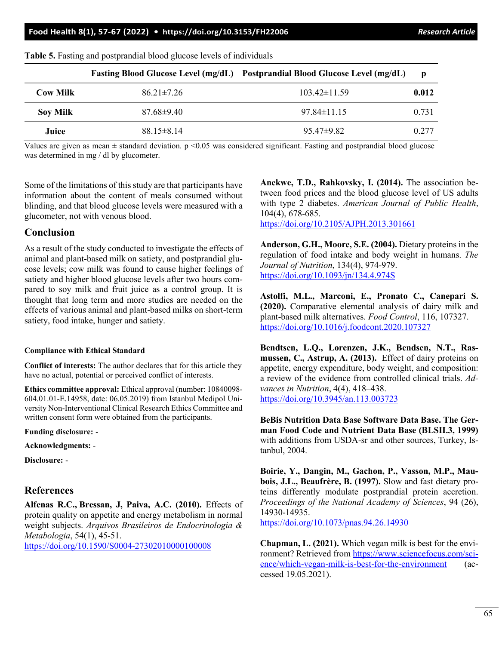|                 |                  | Fasting Blood Glucose Level (mg/dL) Postprandial Blood Glucose Level (mg/dL) | $\mathbf{D}$ |
|-----------------|------------------|------------------------------------------------------------------------------|--------------|
| <b>Cow Milk</b> | $86.21 \pm 7.26$ | $103.42\pm11.59$                                                             | 0.012        |
| <b>Soy Milk</b> | $87.68\pm9.40$   | $97.84\pm11.15$                                                              | 0.731        |
| Juice           | $88.15 \pm 8.14$ | $95.47\pm9.82$                                                               | 0.277        |

**Table 5.** Fasting and postprandial blood glucose levels of individuals

Values are given as mean  $\pm$  standard deviation.  $p \le 0.05$  was considered significant. Fasting and postprandial blood glucose was determined in mg / dl by glucometer.

Some of the limitations of this study are that participants have information about the content of meals consumed without blinding, and that blood glucose levels were measured with a glucometer, not with venous blood.

#### **Conclusion**

As a result of the study conducted to investigate the effects of animal and plant-based milk on satiety, and postprandial glucose levels; cow milk was found to cause higher feelings of satiety and higher blood glucose levels after two hours compared to soy milk and fruit juice as a control group. It is thought that long term and more studies are needed on the effects of various animal and plant-based milks on short-term satiety, food intake, hunger and satiety.

#### **Compliance with Ethical Standard**

**Conflict of interests:** The author declares that for this article they have no actual, potential or perceived conflict of interests.

**Ethics committee approval:** Ethical approval (number: 10840098- 604.01.01-E.14958, date: 06.05.2019) from Istanbul Medipol University Non-Interventional Clinical Research Ethics Committee and written consent form were obtained from the participants.

**Funding disclosure:** -

**Acknowledgments:** -

**Disclosure:** -

### **References**

**Alfenas R.C., Bressan, J, Paiva, A.C. (2010).** Effects of protein quality on appetite and energy metabolism in normal weight subjects. *Arquivos Brasileiros de Endocrinologia & Metabologia*, 54(1), 45-51.

[https://doi.org/10.1590/S0004](https://doi.org/10.1590/S0004-27302010000100008)-27302010000100008

**Anekwe, T.D., Rahkovsky, I. (2014).** The association between food prices and the blood glucose level of US adults with type 2 diabetes. *American Journal of Public Health*, 104(4), 678-685.

<https://doi.org/10.2105/AJPH.2013.301661>

**Anderson, G.H., Moore, S.E. (2004).** Dietary proteins in the regulation of food intake and body weight in humans. *The Journal of Nutrition*, 134(4), 974-979. <https://doi.org/10.1093/jn/134.4.974S>

**Astolfi, M.L., Marconi, E., Pronato C., Canepari S. (2020).** Comparative elemental analysis of dairy milk and plant-based milk alternatives. *Food Control*, 116, 107327. <https://doi.org/10.1016/j.foodcont.2020.107327>

**Bendtsen, L.Q., Lorenzen, J.K., Bendsen, N.T., Rasmussen, C., Astrup, A. (2013).** Effect of dairy proteins on appetite, energy expenditure, body weight, and composition: a review of the evidence from controlled clinical trials. *Advances in Nutrition*, 4(4), 418–438. <https://doi.org/10.3945/an.113.003723>

**BeBis Nutrition Data Base Software Data Base. The German Food Code and Nutrient Data Base (BLSII.3, 1999)** with additions from USDA-sr and other sources, Turkey, Istanbul, 2004.

**Boirie, Y., Dangin, M., Gachon, P., Vasson, M.P., Maubois, J.L., Beaufrère, B. (1997).** Slow and fast dietary proteins differently modulate postprandial protein accretion. *Proceedings of the National Academy of Sciences*, 94 (26), 14930-14935. <https://doi.org/10.1073/pnas.94.26.14930>

**Chapman, L. (2021).** Which vegan milk is best for the environment? Retrieved from [https://www.sciencefocus.com/sci](https://www.sciencefocus.com/science/which-vegan-milk-is-best-for-the-environment)ence/which-vegan-milk-is-best-for-the-[environment](https://www.sciencefocus.com/science/which-vegan-milk-is-best-for-the-environment) (accessed 19.05.2021).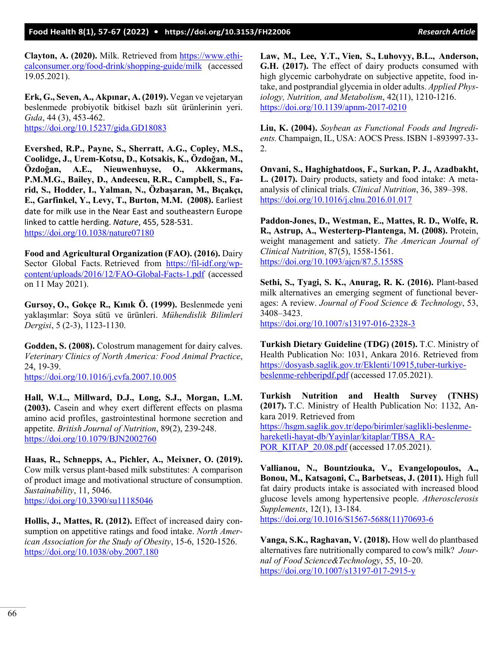**Clayton, A. (2020).** Milk. Retrieved from [https://www.ethi](https://www.ethicalconsumer.org/food-drink/shopping-guide/milk)[calconsumer.org/food](https://www.ethicalconsumer.org/food-drink/shopping-guide/milk)-drink/shopping-guide/milk (accessed 19.05.2021).

**Erk, G., Seven, A., Akpınar, A. (2019).** Vegan ve vejetaryan beslenmede probiyotik bitkisel bazlı süt ürünlerinin yeri. *Gıda*, 44 (3), 453-462. <https://doi.org/10.15237/gida.GD18083>

**Evershed, R.P., Payne, S., Sherratt, A.G., Copley, M.S., Coolidge, J., Urem-Kotsu, D., Kotsakis, K., Özdoğan, M., Özdoğan, A.E., Nieuwenhuyse, O., Akkermans, P.M.M.G., Bailey, D., Andeescu, R.R., Campbell, S., Farid, S., Hodder, I., Yalman, N., Özbaşaran, M., Bıçakçı, E., Garfinkel, Y., Levy, T., Burton, M.M. (2008).** Earliest date for milk use in the Near East and southeastern Europe linked to cattle herding. *Nature*, 455, 528-531. <https://doi.org/10.1038/nature07180>

**Food and Agricultural Organization (FAO). (2016).** Dairy Sector Global Facts. Retrieved from https://fil-[idf.org/wp](https://fil-idf.org/wp-content/uploads/2016/12/FAO-Global-Facts-1.pdf)[content/uploads/2016/12/FAO](https://fil-idf.org/wp-content/uploads/2016/12/FAO-Global-Facts-1.pdf)-Global-Facts-1.pdf (accessed on 11 May 2021).

**Gursoy, O., Gokçe R., Kınık Ö. (1999).** Beslenmede yeni yaklaşımlar: Soya sütü ve ürünleri. *Mühendislik Bilimleri Dergisi*, 5 (2-3), 1123-1130.

**Godden, S. (2008).** Colostrum management for dairy calves. *Veterinary Clinics of North America: Food Animal Practice*, 24, 19-39.

<https://doi.org/10.1016/j.cvfa.2007.10.005>

**Hall, W.L., Millward, D.J., Long, S.J., Morgan, L.M. (2003).** Casein and whey exert different effects on plasma amino acid profiles, gastrointestinal hormone secretion and appetite. *British Journal of Nutrition*, 89(2), 239-248. <https://doi.org/10.1079/BJN2002760>

**Haas, R., Schnepps, A., Pichler, A., Meixner, O. (2019).** Cow milk versus plant-based milk substitutes: A comparison of product image and motivational structure of consumption. *Sustainability*, 11, 5046. <https://doi.org/10.3390/su11185046>

**Hollis, J., Mattes, R. (2012).** Effect of increased dairy consumption on appetitive ratings and food intake. *North American Association for the Study of Obesity*, 15-6, 1520-1526. <https://doi.org/10.1038/oby.2007.180>

**Law, M., Lee, Y.T., Vien, S., Luhovyy, B.L., Anderson, G.H. (2017).** The effect of dairy products consumed with high glycemic carbohydrate on subjective appetite, food intake, and postprandial glycemia in older adults. *Applied Physiology, Nutrition, and Metabolism*, 42(11), 1210-1216. [https://doi.org/10.1139/apnm](https://doi.org/10.1139/apnm-2017-0210)-2017-0210

**Liu, K. (2004).** *Soybean as Functional Foods and Ingredients.* Champaign, IL, USA: AOCS Press. ISBN 1-893997-33- 2.

**Onvani, S., Haghighatdoos, F., Surkan, P. J., Azadbakht, L. (2017).** Dairy products, satiety and food intake: A metaanalysis of clinical trials. *Clinical Nutrition*, 36, 389–398. <https://doi.org/10.1016/j.clnu.2016.01.017>

**Paddon-Jones, D., Westman, E., Mattes, R. D., Wolfe, R. R., Astrup, A., Westerterp-Plantenga, M. (2008).** Protein, weight management and satiety. *The American Journal of Clinical Nutrition*, 87(5), 1558-1561. <https://doi.org/10.1093/ajcn/87.5.1558S>

**Sethi, S., Tyagi, S. K., Anurag, R. K. (2016).** Plant-based milk alternatives an emerging segment of functional beverages: A review. *Journal of Food Science & Technology*, 53, 3408–3423.

[https://doi.org/10.1007/s13197](https://doi.org/10.1007/s13197-016-2328-3)-016-2328-3

**Turkish Dietary Guideline (TDG) (2015).** T.C. Ministry of Health Publication No: 1031, Ankara 2016. Retrieved from [https://dosyasb.saglik.gov.tr/Eklenti/10915,tuber](https://dosyasb.saglik.gov.tr/Eklenti/10915,tuber-turkiye-beslenme-rehberipdf.pdf)-turkiyebeslenme-[rehberipdf.pdf](https://dosyasb.saglik.gov.tr/Eklenti/10915,tuber-turkiye-beslenme-rehberipdf.pdf) (accessed 17.05.2021).

**Turkish Nutrition and Health Survey (TNHS) (2017).** T.C. Ministry of Health Publication No: 1132, Ankara 2019. Retrieved from [https://hsgm.saglik.gov.tr/depo/birimler/saglikli](https://hsgm.saglik.gov.tr/depo/birimler/saglikli-beslenme-hareketli-hayat-db/Yayinlar/kitaplar/TBSA_RAPOR_KITAP_20.08.pdf)-beslenmehareketli-hayat-[db/Yayinlar/kitaplar/TBSA\\_RA-](https://hsgm.saglik.gov.tr/depo/birimler/saglikli-beslenme-hareketli-hayat-db/Yayinlar/kitaplar/TBSA_RAPOR_KITAP_20.08.pdf)[POR\\_KITAP\\_20.08.pdf](https://hsgm.saglik.gov.tr/depo/birimler/saglikli-beslenme-hareketli-hayat-db/Yayinlar/kitaplar/TBSA_RAPOR_KITAP_20.08.pdf) (accessed 17.05.2021).

**Vallianou, N., Bountziouka, V., Evangelopoulos, A., Bonou, M., Katsagoni, C., Barbetseas, J. (2011).** High full fat dairy products intake is associated with increased blood glucose levels among hypertensive people. *Atherosclerosis Supplements*, 12(1), 13-184.

[https://doi.org/10.1016/S1567](https://doi.org/10.1016/S1567-5688(11)70693-6)-5688(11)70693-6

**Vanga, S.K., Raghavan, V. (2018).** How well do plantbased alternatives fare nutritionally compared to cow's milk? *Journal of Food Science&Technology*, 55, 10–20. [https://doi.org/10.1007/s13197](https://doi.org/10.1007/s13197-017-2915-y)-017-2915-y